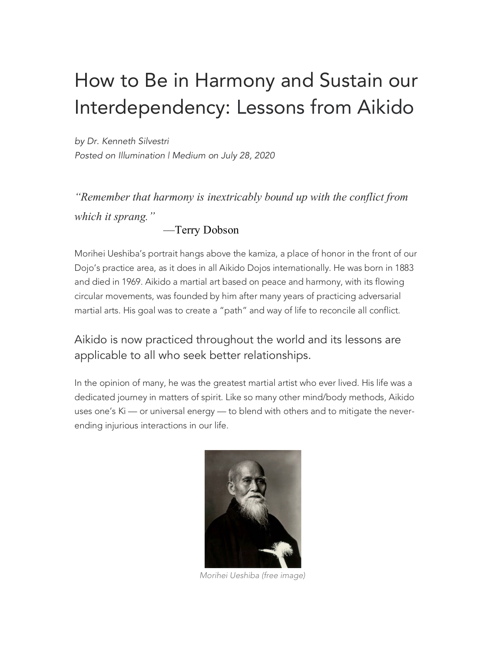## How to Be in Harmony and Sustain our Interdependency: Lessons from Aikido

*by Dr. Kenneth Silvestri Posted on Illumination | Medium on July 28, 2020*

*"Remember that harmony is inextricably bound up with the conflict from which it sprang."*

—Terry Dobson

Morihei Ueshiba's portrait hangs above the kamiza, a place of honor in the front of our Dojo's practice area, as it does in all Aikido Dojos internationally. He was born in 1883 and died in 1969. Aikido a martial art based on peace and harmony, with its flowing circular movements, was founded by him after many years of practicing adversarial martial arts. His goal was to create a "path" and way of life to reconcile all conflict.

Aikido is now practiced throughout the world and its lessons are applicable to all who seek better relationships.

In the opinion of many, he was the greatest martial artist who ever lived. His life was a dedicated journey in matters of spirit. Like so many other mind/body methods, Aikido uses one's Ki — or universal energy — to blend with others and to mitigate the neverending injurious interactions in our life.



*Morihei Ueshiba (free image)*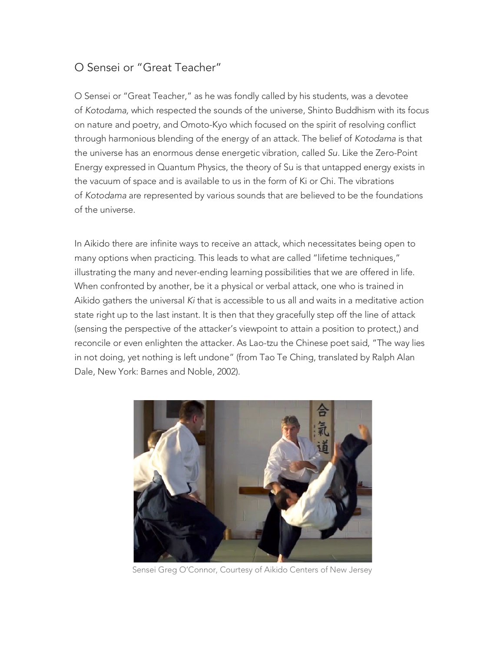## O Sensei or "Great Teacher"

O Sensei or "Great Teacher," as he was fondly called by his students, was a devotee of *Kotodama,* which respected the sounds of the universe, Shinto Buddhism with its focus on nature and poetry, and Omoto-Kyo which focused on the spirit of resolving conflict through harmonious blending of the energy of an attack. The belief of *Kotodama* is that the universe has an enormous dense energetic vibration, called *Su.* Like the Zero-Point Energy expressed in Quantum Physics, the theory of Su is that untapped energy exists in the vacuum of space and is available to us in the form of Ki or Chi. The vibrations of *Kotodama* are represented by various sounds that are believed to be the foundations of the universe.

In Aikido there are infinite ways to receive an attack, which necessitates being open to many options when practicing. This leads to what are called "lifetime techniques," illustrating the many and never-ending learning possibilities that we are offered in life. When confronted by another, be it a physical or verbal attack, one who is trained in Aikido gathers the universal *Ki* that is accessible to us all and waits in a meditative action state right up to the last instant. It is then that they gracefully step off the line of attack (sensing the perspective of the attacker's viewpoint to attain a position to protect,) and reconcile or even enlighten the attacker. As Lao-tzu the Chinese poet said, "The way lies in not doing, yet nothing is left undone" (from Tao Te Ching, translated by Ralph Alan Dale, New York: Barnes and Noble, 2002).



Sensei Greg O'Connor, Courtesy of Aikido Centers of New Jersey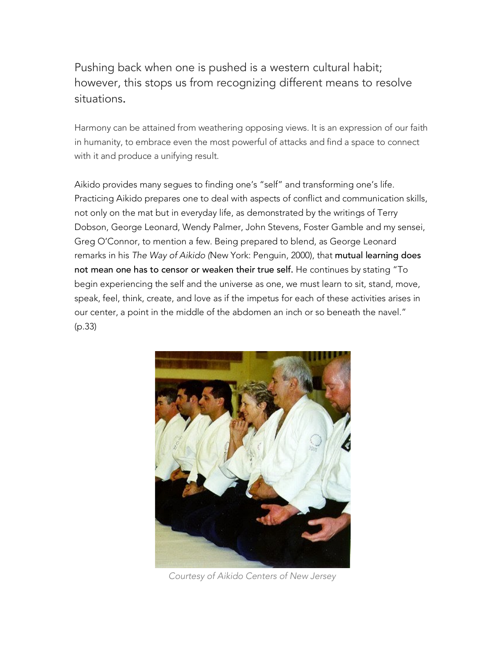Pushing back when one is pushed is a western cultural habit; however, this stops us from recognizing different means to resolve situations.

Harmony can be attained from weathering opposing views. It is an expression of our faith in humanity, to embrace even the most powerful of attacks and find a space to connect with it and produce a unifying result.

Aikido provides many segues to finding one's "self" and transforming one's life. Practicing Aikido prepares one to deal with aspects of conflict and communication skills, not only on the mat but in everyday life, as demonstrated by the writings of Terry Dobson, George Leonard, Wendy Palmer, John Stevens, Foster Gamble and my sensei, Greg O'Connor, to mention a few. Being prepared to blend, as George Leonard remarks in his *The Way of Aikido (*New York: Penguin, 2000), that mutual learning does not mean one has to censor or weaken their true self. He continues by stating "To begin experiencing the self and the universe as one, we must learn to sit, stand, move, speak, feel, think, create, and love as if the impetus for each of these activities arises in our center, a point in the middle of the abdomen an inch or so beneath the navel." (p.33)



*Courtesy of Aikido Centers of New Jersey*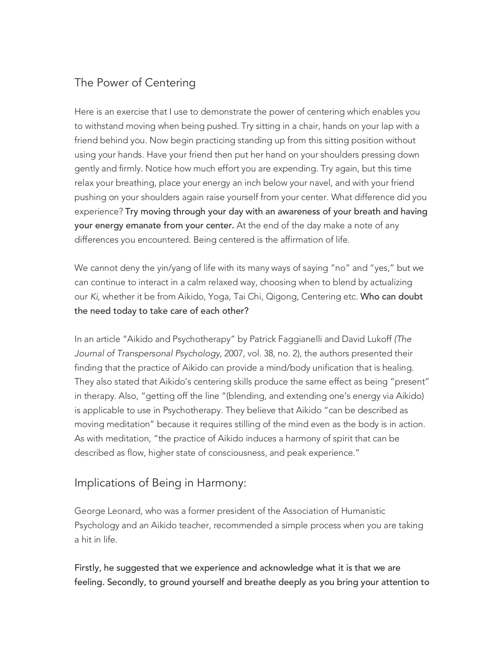## The Power of Centering

Here is an exercise that I use to demonstrate the power of centering which enables you to withstand moving when being pushed. Try sitting in a chair, hands on your lap with a friend behind you. Now begin practicing standing up from this sitting position without using your hands. Have your friend then put her hand on your shoulders pressing down gently and firmly. Notice how much effort you are expending. Try again, but this time relax your breathing, place your energy an inch below your navel, and with your friend pushing on your shoulders again raise yourself from your center. What difference did you experience? Try moving through your day with an awareness of your breath and having your energy emanate from your center. At the end of the day make a note of any differences you encountered. Being centered is the affirmation of life.

We cannot deny the yin/yang of life with its many ways of saying "no" and "yes," but we can continue to interact in a calm relaxed way, choosing when to blend by actualizing our *Ki*, whether it be from Aikido, Yoga, Tai Chi, Qigong, Centering etc. Who can doubt the need today to take care of each other?

In an article "Aikido and Psychotherapy" by Patrick Faggianelli and David Lukoff *(The Journal of Transpersonal Psychology,* 2007, vol. 38, no. 2), the authors presented their finding that the practice of Aikido can provide a mind/body unification that is healing. They also stated that Aikido's centering skills produce the same effect as being "present" in therapy. Also, "getting off the line "(blending, and extending one's energy via Aikido) is applicable to use in Psychotherapy. They believe that Aikido "can be described as moving meditation" because it requires stilling of the mind even as the body is in action. As with meditation, "the practice of Aikido induces a harmony of spirit that can be described as flow, higher state of consciousness, and peak experience."

## Implications of Being in Harmony:

George Leonard, who was a former president of the Association of Humanistic Psychology and an Aikido teacher, recommended a simple process when you are taking a hit in life.

Firstly, he suggested that we experience and acknowledge what it is that we are feeling. Secondly, to ground yourself and breathe deeply as you bring your attention to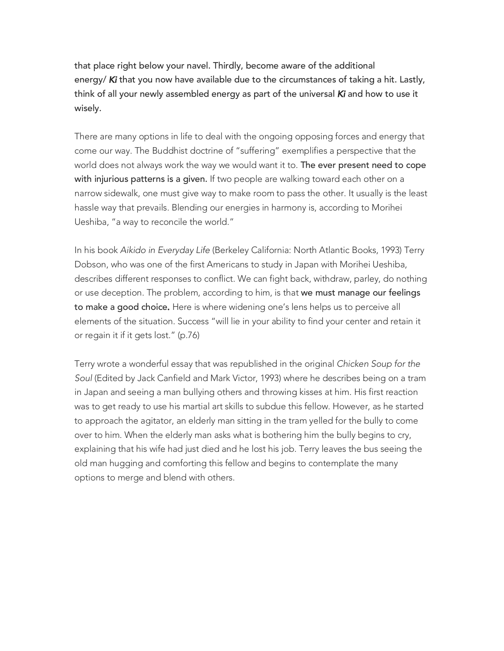that place right below your navel. Thirdly, become aware of the additional energy/ *Ki* that you now have available due to the circumstances of taking a hit. Lastly, think of all your newly assembled energy as part of the universal *Ki* and how to use it wisely.

There are many options in life to deal with the ongoing opposing forces and energy that come our way. The Buddhist doctrine of "suffering" exemplifies a perspective that the world does not always work the way we would want it to. The ever present need to cope with injurious patterns is a given. If two people are walking toward each other on a narrow sidewalk, one must give way to make room to pass the other. It usually is the least hassle way that prevails. Blending our energies in harmony is, according to Morihei Ueshiba, "a way to reconcile the world."

In his book *Aikido in Everyday Life* (Berkeley California: North Atlantic Books, 1993) Terry Dobson, who was one of the first Americans to study in Japan with Morihei Ueshiba, describes different responses to conflict. We can fight back, withdraw, parley, do nothing or use deception. The problem, according to him, is that we must manage our feelings to make a good choice. Here is where widening one's lens helps us to perceive all elements of the situation. Success "will lie in your ability to find your center and retain it or regain it if it gets lost." (p.76)

Terry wrote a wonderful essay that was republished in the original *Chicken Soup for the Soul* (Edited by Jack Canfield and Mark Victor, 1993) where he describes being on a tram in Japan and seeing a man bullying others and throwing kisses at him. His first reaction was to get ready to use his martial art skills to subdue this fellow. However, as he started to approach the agitator, an elderly man sitting in the tram yelled for the bully to come over to him. When the elderly man asks what is bothering him the bully begins to cry, explaining that his wife had just died and he lost his job. Terry leaves the bus seeing the old man hugging and comforting this fellow and begins to contemplate the many options to merge and blend with others.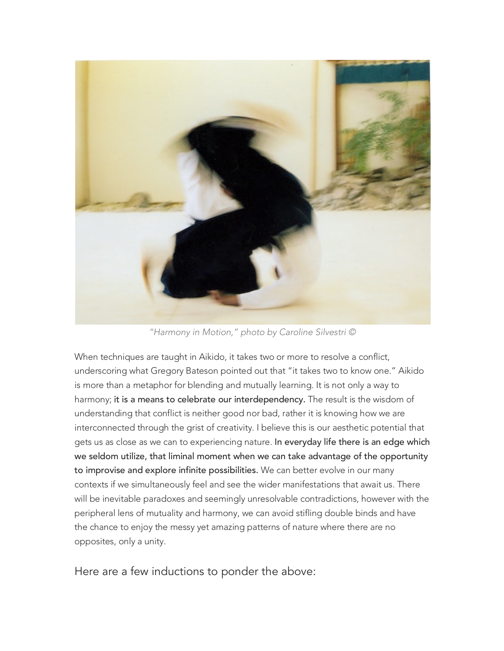

*"Harmony in Motion," photo by Caroline Silvestri ©*

When techniques are taught in Aikido, it takes two or more to resolve a conflict, underscoring what Gregory Bateson pointed out that "it takes two to know one." Aikido is more than a metaphor for blending and mutually learning. It is not only a way to harmony; it is a means to celebrate our interdependency. The result is the wisdom of understanding that conflict is neither good nor bad, rather it is knowing how we are interconnected through the grist of creativity. I believe this is our aesthetic potential that gets us as close as we can to experiencing nature. In everyday life there is an edge which we seldom utilize, that liminal moment when we can take advantage of the opportunity to improvise and explore infinite possibilities. We can better evolve in our many contexts if we simultaneously feel and see the wider manifestations that await us. There will be inevitable paradoxes and seemingly unresolvable contradictions, however with the peripheral lens of mutuality and harmony, we can avoid stifling double binds and have the chance to enjoy the messy yet amazing patterns of nature where there are no opposites, only a unity.

Here are a few inductions to ponder the above: